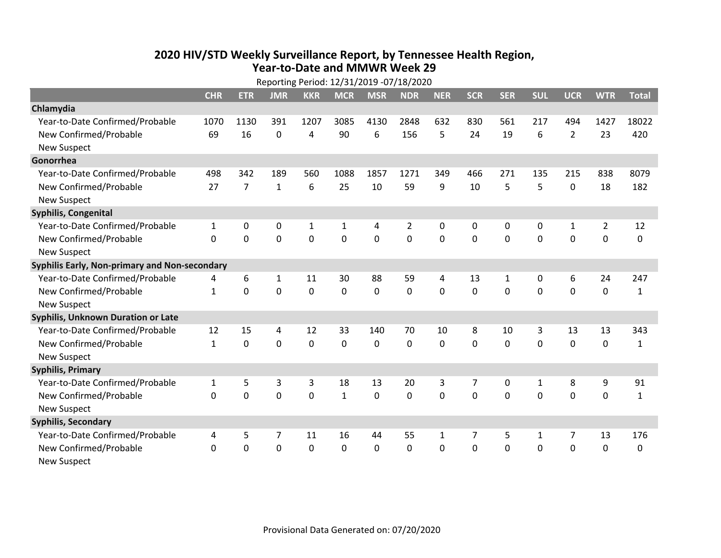## **2020 HIV /STD Weekly Surveillance Report, by Tennessee Health Region, Year‐to‐Date and MMWR Week 29** Reporting Period: 12/31/2019 ‐07/18/2020

| Reporting Period: 12/31/2019 -07/18/2020      |              |                |              |              |              |             |                |              |              |            |              |                |                |              |
|-----------------------------------------------|--------------|----------------|--------------|--------------|--------------|-------------|----------------|--------------|--------------|------------|--------------|----------------|----------------|--------------|
|                                               | <b>CHR</b>   | <b>ETR</b>     | <b>JMR</b>   | <b>KKR</b>   | <b>MCR</b>   | <b>MSR</b>  | <b>NDR</b>     | <b>NER</b>   | <b>SCR</b>   | <b>SER</b> | <b>SUL</b>   | <b>UCR</b>     | <b>WTR</b>     | <b>Total</b> |
| Chlamydia                                     |              |                |              |              |              |             |                |              |              |            |              |                |                |              |
| Year-to-Date Confirmed/Probable               | 1070         | 1130           | 391          | 1207         | 3085         | 4130        | 2848           | 632          | 830          | 561        | 217          | 494            | 1427           | 18022        |
| New Confirmed/Probable                        | 69           | 16             | 0            | 4            | 90           | 6           | 156            | 5            | 24           | 19         | 6            | $\overline{2}$ | 23             | 420          |
| <b>New Suspect</b>                            |              |                |              |              |              |             |                |              |              |            |              |                |                |              |
| Gonorrhea                                     |              |                |              |              |              |             |                |              |              |            |              |                |                |              |
| Year-to-Date Confirmed/Probable               | 498          | 342            | 189          | 560          | 1088         | 1857        | 1271           | 349          | 466          | 271        | 135          | 215            | 838            | 8079         |
| New Confirmed/Probable                        | 27           | $\overline{7}$ | $\mathbf{1}$ | 6            | 25           | 10          | 59             | 9            | 10           | 5          | 5            | $\mathbf 0$    | 18             | 182          |
| <b>New Suspect</b>                            |              |                |              |              |              |             |                |              |              |            |              |                |                |              |
| <b>Syphilis, Congenital</b>                   |              |                |              |              |              |             |                |              |              |            |              |                |                |              |
| Year-to-Date Confirmed/Probable               | $\mathbf{1}$ | $\mathbf 0$    | $\mathbf 0$  | $\mathbf{1}$ | 1            | 4           | $\overline{2}$ | 0            | 0            | 0          | 0            | $\mathbf{1}$   | $\overline{2}$ | 12           |
| New Confirmed/Probable                        | $\mathbf{0}$ | $\mathbf 0$    | 0            | 0            | $\mathbf 0$  | $\mathbf 0$ | 0              | $\mathbf 0$  | $\mathbf{0}$ | 0          | 0            | 0              | $\mathbf 0$    | $\Omega$     |
| <b>New Suspect</b>                            |              |                |              |              |              |             |                |              |              |            |              |                |                |              |
| Syphilis Early, Non-primary and Non-secondary |              |                |              |              |              |             |                |              |              |            |              |                |                |              |
| Year-to-Date Confirmed/Probable               | 4            | 6              | 1            | 11           | 30           | 88          | 59             | 4            | 13           | 1          | 0            | 6              | 24             | 247          |
| New Confirmed/Probable                        | $\mathbf{1}$ | 0              | $\Omega$     | 0            | $\mathbf 0$  | $\mathbf 0$ | $\Omega$       | $\Omega$     | $\Omega$     | $\Omega$   | $\Omega$     | $\Omega$       | $\mathbf 0$    | $\mathbf{1}$ |
| <b>New Suspect</b>                            |              |                |              |              |              |             |                |              |              |            |              |                |                |              |
| Syphilis, Unknown Duration or Late            |              |                |              |              |              |             |                |              |              |            |              |                |                |              |
| Year-to-Date Confirmed/Probable               | 12           | 15             | 4            | 12           | 33           | 140         | 70             | 10           | 8            | 10         | 3            | 13             | 13             | 343          |
| New Confirmed/Probable                        | $\mathbf{1}$ | $\mathbf 0$    | $\mathbf 0$  | 0            | $\mathbf 0$  | 0           | $\Omega$       | $\Omega$     | $\Omega$     | $\Omega$   | $\Omega$     | 0              | $\mathbf 0$    | $\mathbf{1}$ |
| <b>New Suspect</b>                            |              |                |              |              |              |             |                |              |              |            |              |                |                |              |
| <b>Syphilis, Primary</b>                      |              |                |              |              |              |             |                |              |              |            |              |                |                |              |
| Year-to-Date Confirmed/Probable               | $\mathbf{1}$ | 5              | 3            | 3            | 18           | 13          | 20             | 3            | 7            | 0          | $\mathbf{1}$ | 8              | 9              | 91           |
| New Confirmed/Probable                        | $\Omega$     | 0              | 0            | 0            | $\mathbf{1}$ | 0           | 0              | $\Omega$     | $\Omega$     | $\Omega$   | 0            | $\Omega$       | $\mathbf 0$    | $\mathbf{1}$ |
| <b>New Suspect</b>                            |              |                |              |              |              |             |                |              |              |            |              |                |                |              |
| <b>Syphilis, Secondary</b>                    |              |                |              |              |              |             |                |              |              |            |              |                |                |              |
| Year-to-Date Confirmed/Probable               | 4            | 5              | 7            | 11           | 16           | 44          | 55             | $\mathbf{1}$ | 7            | 5          | 1            | 7              | 13             | 176          |
| New Confirmed/Probable                        | 0            | 0              | 0            | 0            | $\mathbf 0$  | 0           | 0              | $\Omega$     | $\Omega$     | 0          | 0            | 0              | $\mathbf 0$    | 0            |
| <b>New Suspect</b>                            |              |                |              |              |              |             |                |              |              |            |              |                |                |              |